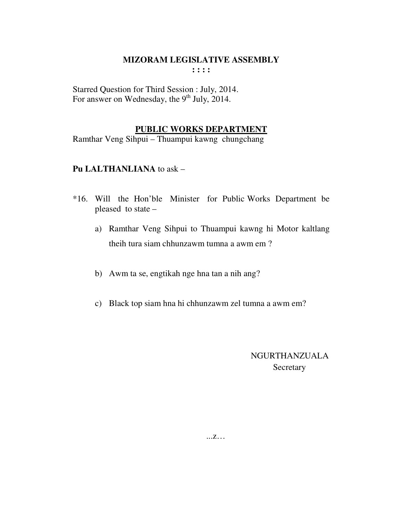Starred Question for Third Session : July, 2014. For answer on Wednesday, the  $9<sup>th</sup>$  July, 2014.

# **PUBLIC WORKS DEPARTMENT**

Ramthar Veng Sihpui – Thuampui kawng chungchang

## **Pu LALTHANLIANA** to ask –

- \*16. Will the Hon'ble Minister for Public Works Department be pleased to state –
	- a) Ramthar Veng Sihpui to Thuampui kawng hi Motor kaltlang theih tura siam chhunzawm tumna a awm em ?
	- b) Awm ta se, engtikah nge hna tan a nih ang?
	- c) Black top siam hna hi chhunzawm zel tumna a awm em?

# NGURTHANZUALA **Secretary**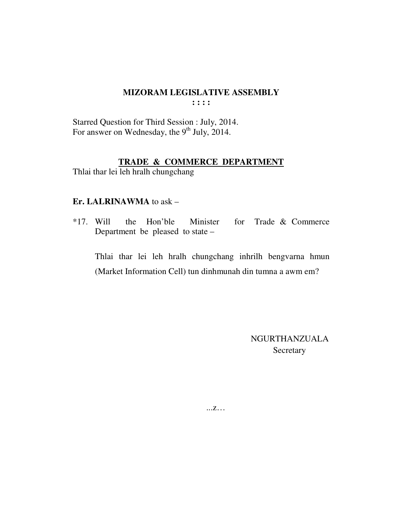Starred Question for Third Session : July, 2014. For answer on Wednesday, the 9<sup>th</sup> July, 2014.

# **TRADE & COMMERCE DEPARTMENT**

Thlai thar lei leh hralh chungchang

#### **Er. LALRINAWMA** to ask –

\*17. Will the Hon'ble Minister for Trade & Commerce Department be pleased to state –

 Thlai thar lei leh hralh chungchang inhrilh bengvarna hmun (Market Information Cell) tun dinhmunah din tumna a awm em?

> NGURTHANZUALA Secretary

...z…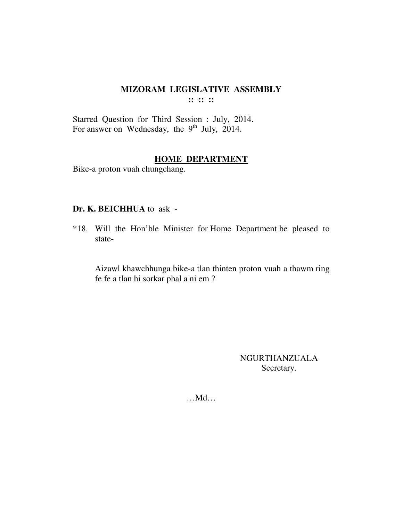Starred Question for Third Session : July, 2014. For answer on Wednesday, the  $9<sup>th</sup>$  July, 2014.

#### **HOME DEPARTMENT**

Bike-a proton vuah chungchang.

#### **Dr. K. BEICHHUA** to ask -

\*18. Will the Hon'ble Minister for Home Department be pleased to state-

 Aizawl khawchhunga bike-a tlan thinten proton vuah a thawm ring fe fe a tlan hi sorkar phal a ni em ?

> NGURTHANZUALA Secretary.

…Md…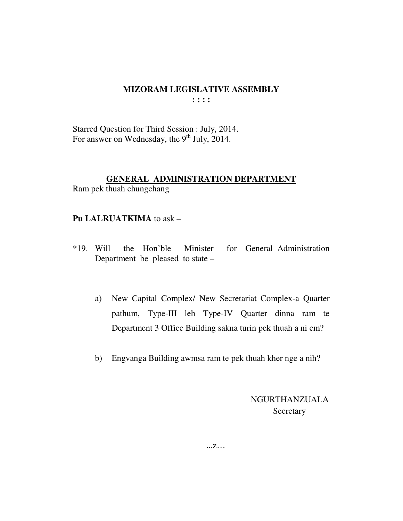Starred Question for Third Session : July, 2014. For answer on Wednesday, the 9<sup>th</sup> July, 2014.

# **GENERAL ADMINISTRATION DEPARTMENT**

Ram pek thuah chungchang

# Pu LALRUATKIMA to ask -

- for General Administration  $*19.$  Will the Hon'ble Minister Department be pleased to state –
	- New Capital Complex/ New Secretariat Complex-a Quarter a) pathum, Type-III leh Type-IV Quarter dinna ram te Department 3 Office Building sakna turin pek thuah a ni em?
	- $b)$ Engvanga Building awmsa ram te pek thuah kher nge a nih?

**NGURTHANZUALA** Secretary

 $\dots Z\dots$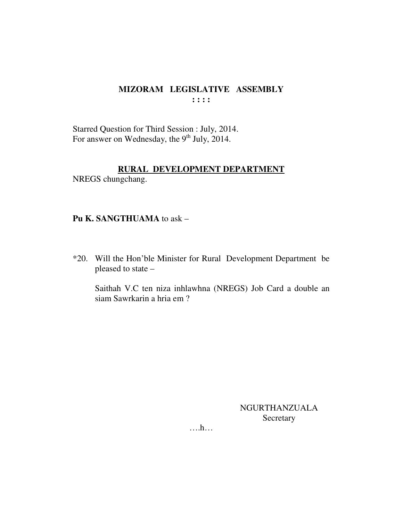Starred Question for Third Session : July, 2014. For answer on Wednesday, the 9<sup>th</sup> July, 2014.

# RURAL DEVELOPMENT DEPARTMENT

NREGS chungchang.

# Pu K. SANGTHUAMA to ask -

\*20. Will the Hon'ble Minister for Rural Development Department be pleased to state -

Saithah V.C ten niza inhlawhna (NREGS) Job Card a double an siam Sawrkarin a hria em ?

> **NGURTHANZUALA** Secretary

 $\dots$ ...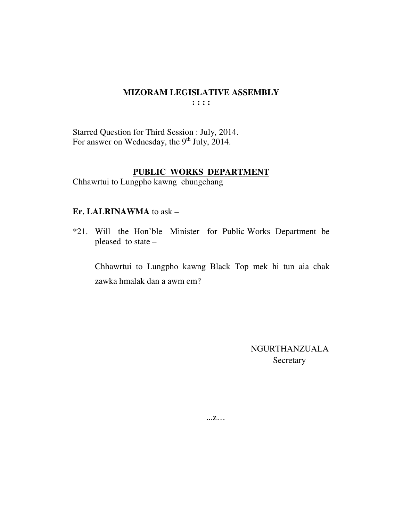Starred Question for Third Session : July, 2014. For answer on Wednesday, the  $9<sup>th</sup>$  July, 2014.

# PUBLIC WORKS DEPARTMENT

Chhawrtui to Lungpho kawng chungchang

#### Er. LALRINAWMA to ask -

\*21. Will the Hon'ble Minister for Public Works Department be pleased to state -

Chhawrtui to Lungpho kawng Black Top mek hi tun aia chak zawka hmalak dan a awm em?

> **NGURTHANZUALA** Secretary

 $...Z...$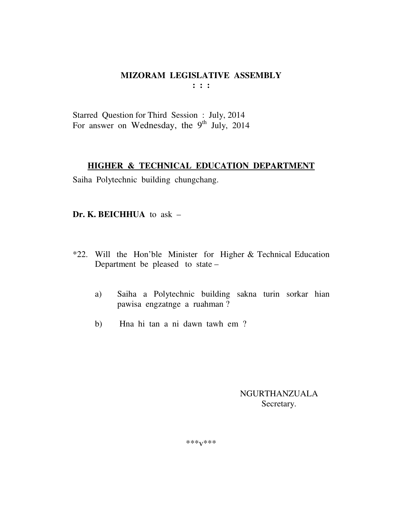Starred Question for Third Session : July, 2014 For answer on Wednesday, the 9<sup>th</sup> July, 2014

# **HIGHER & TECHNICAL EDUCATION DEPARTMENT**

Saiha Polytechnic building chungchang.

## **Dr. K. BEICHHUA** to ask –

- \*22. Will the Hon'ble Minister for Higher & Technical Education Department be pleased to state –
	- a) Saiha a Polytechnic building sakna turin sorkar hian pawisa engzatnge a ruahman ?
	- b) Hna hi tan a ni dawn tawh em ?

NGURTHANZUALA Secretary.

\*\*\*v\*\*\*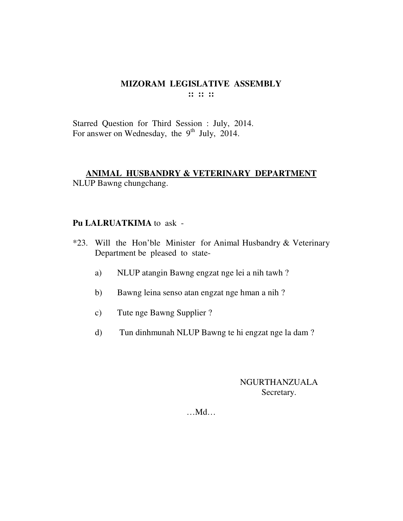Starred Question for Third Session : July, 2014. For answer on Wednesday, the  $9<sup>th</sup>$  July, 2014.

# **ANIMAL HUSBANDRY & VETERINARY DEPARTMENT**

NLUP Bawng chungchang.

# **Pu LALRUATKIMA** to ask -

- \*23. Will the Hon'ble Minister for Animal Husbandry & Veterinary Department be pleased to state
	- a) NLUP atangin Bawng engzat nge lei a nih tawh ?
	- b) Bawng leina senso atan engzat nge hman a nih ?
	- c) Tute nge Bawng Supplier ?
	- d) Tun dinhmunah NLUP Bawng te hi engzat nge la dam ?

# NGURTHANZUALA Secretary.

…Md…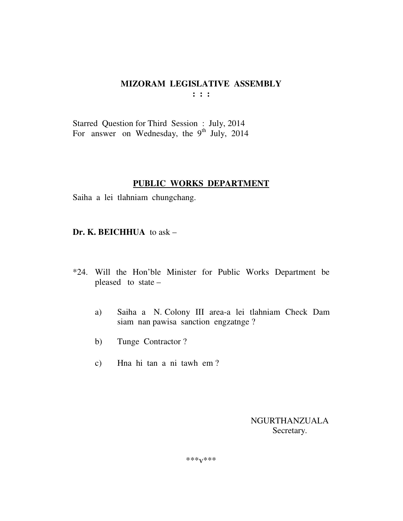Starred Question for Third Session : July, 2014 For answer on Wednesday, the 9<sup>th</sup> July, 2014

# **PUBLIC WORKS DEPARTMENT**

Saiha a lei tlahniam chungchang.

## **Dr. K. BEICHHUA** to ask –

- \*24. Will the Hon'ble Minister for Public Works Department be pleased to state –
	- a) Saiha a N. Colony III area-a lei tlahniam Check Dam siam nan pawisa sanction engzatnge ?
	- b) Tunge Contractor ?
	- c) Hna hi tan a ni tawh em ?

 NGURTHANZUALA Secretary.

\*\*\*v\*\*\*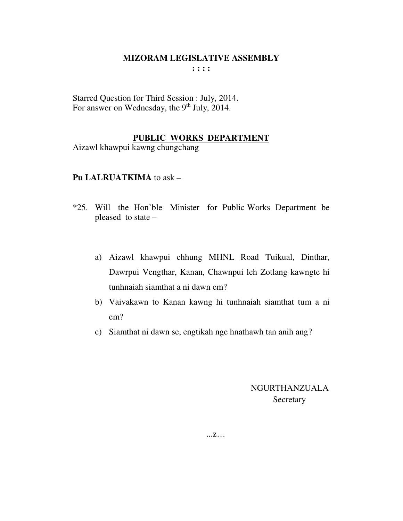Starred Question for Third Session : July, 2014. For answer on Wednesday, the  $9<sup>th</sup>$  July, 2014.

## **PUBLIC WORKS DEPARTMENT**

Aizawl khawpui kawng chungchang

#### **Pu LALRUATKIMA** to ask –

- \*25. Will the Hon'ble Minister for Public Works Department be pleased to state –
	- a) Aizawl khawpui chhung MHNL Road Tuikual, Dinthar, Dawrpui Vengthar, Kanan, Chawnpui leh Zotlang kawngte hi tunhnaiah siamthat a ni dawn em?
	- b) Vaivakawn to Kanan kawng hi tunhnaiah siamthat tum a ni em?
	- c) Siamthat ni dawn se, engtikah nge hnathawh tan anih ang?

 NGURTHANZUALA Secretary

...z…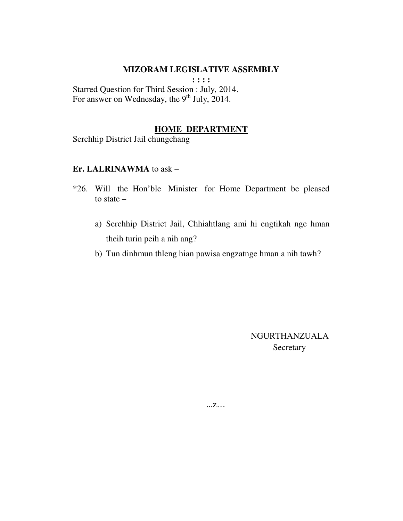## **MIZORAM LEGISLATIVE ASSEMBLY**

**: : : :** 

Starred Question for Third Session : July, 2014. For answer on Wednesday, the  $9<sup>th</sup>$  July, 2014.

## **HOME DEPARTMENT**

Serchhip District Jail chungchang

#### **Er. LALRINAWMA** to ask –

- \*26. Will the Hon'ble Minister for Home Department be pleased to state –
	- a) Serchhip District Jail, Chhiahtlang ami hi engtikah nge hman theih turin peih a nih ang?
	- b) Tun dinhmun thleng hian pawisa engzatnge hman a nih tawh?

 NGURTHANZUALA **Secretary** 

...z…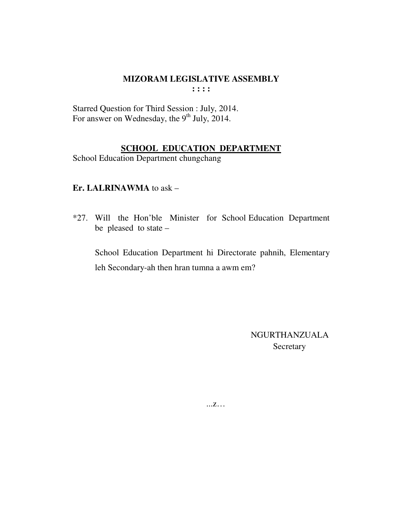Starred Question for Third Session : July, 2014. For answer on Wednesday, the 9<sup>th</sup> July, 2014.

# **SCHOOL EDUCATION DEPARTMENT**

School Education Department chungchang

## Er. LALRINAWMA to ask -

\*27. Will the Hon'ble Minister for School Education Department be pleased to state  $-$ 

School Education Department hi Directorate pahnih, Elementary leh Secondary-ah then hran tumna a awm em?

> **NGURTHANZUALA** Secretary

 $...Z...$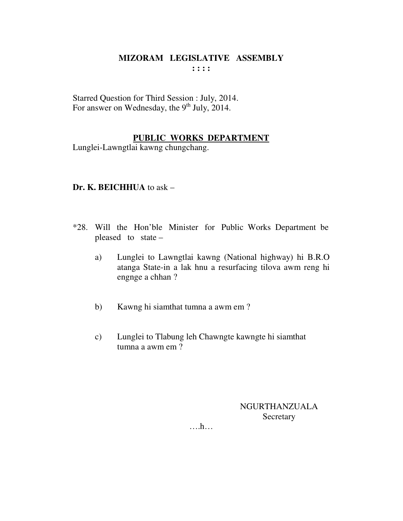Starred Question for Third Session : July, 2014. For answer on Wednesday, the  $9<sup>th</sup>$  July, 2014.

# **PUBLIC WORKS DEPARTMENT**

Lunglei-Lawngtlai kawng chungchang.

# **Dr. K. BEICHHUA** to ask –

- \*28. Will the Hon'ble Minister for Public Works Department be pleased to state –
	- a) Lunglei to Lawngtlai kawng (National highway) hi B.R.O atanga State-in a lak hnu a resurfacing tilova awm reng hi engnge a chhan ?
	- b) Kawng hi siamthat tumna a awm em ?
	- c) Lunglei to Tlabung leh Chawngte kawngte hi siamthat tumna a awm em ?

NGURTHANZUALA **Secretary** 

….h…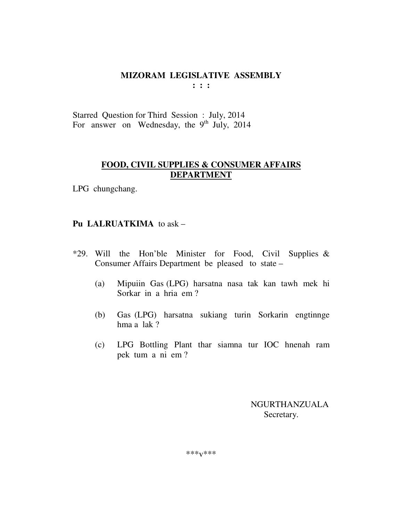Starred Question for Third Session : July, 2014 For answer on Wednesday, the 9<sup>th</sup> July, 2014

# **FOOD, CIVIL SUPPLIES & CONSUMER AFFAIRS DEPARTMENT**

LPG chungchang.

# **Pu LALRUATKIMA** to ask –

- \*29. Will the Hon'ble Minister for Food, Civil Supplies  $\&$ Consumer Affairs Department be pleased to state –
	- (a) Mipuiin Gas (LPG) harsatna nasa tak kan tawh mek hi Sorkar in a hria em ?
	- (b) Gas (LPG) harsatna sukiang turin Sorkarin engtinnge hma a lak ?
	- (c) LPG Bottling Plant thar siamna tur IOC hnenah ram pek tum a ni em ?

 NGURTHANZUALA Secretary.